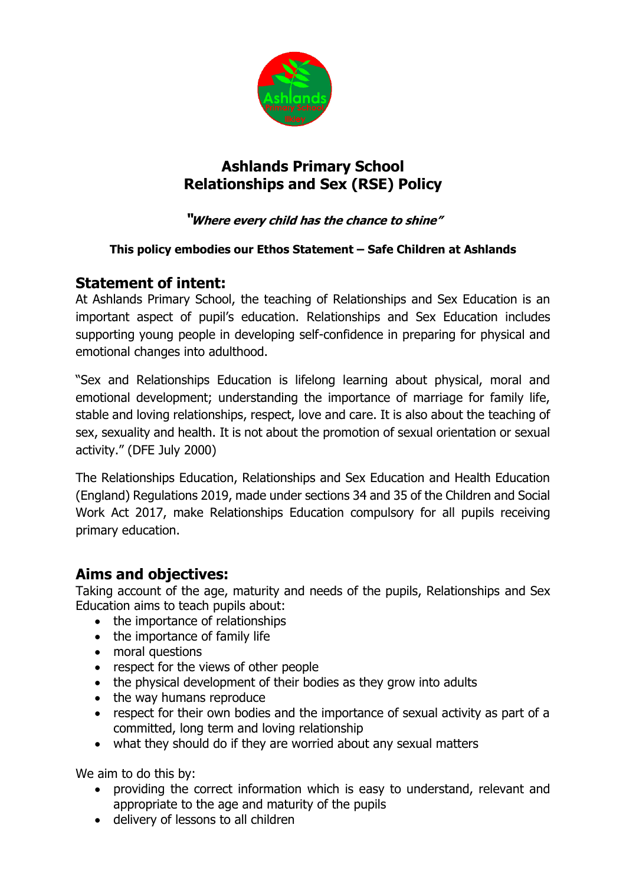

# **Ashlands Primary School Relationships and Sex (RSE) Policy**

### **"Where every child has the chance to shine"**

#### **This policy embodies our Ethos Statement – Safe Children at Ashlands**

## **Statement of intent:**

At Ashlands Primary School, the teaching of Relationships and Sex Education is an important aspect of pupil's education. Relationships and Sex Education includes supporting young people in developing self-confidence in preparing for physical and emotional changes into adulthood.

"Sex and Relationships Education is lifelong learning about physical, moral and emotional development; understanding the importance of marriage for family life, stable and loving relationships, respect, love and care. It is also about the teaching of sex, sexuality and health. It is not about the promotion of sexual orientation or sexual activity." (DFE July 2000)

The Relationships Education, Relationships and Sex Education and Health Education (England) Regulations 2019, made under sections 34 and 35 of the Children and Social Work Act 2017, make Relationships Education compulsory for all pupils receiving primary education.

### **Aims and objectives:**

Taking account of the age, maturity and needs of the pupils, Relationships and Sex Education aims to teach pupils about:

- the importance of relationships
- the importance of family life
- moral questions
- respect for the views of other people
- the physical development of their bodies as they grow into adults
- the way humans reproduce
- respect for their own bodies and the importance of sexual activity as part of a committed, long term and loving relationship
- what they should do if they are worried about any sexual matters

We aim to do this by:

- providing the correct information which is easy to understand, relevant and appropriate to the age and maturity of the pupils
- delivery of lessons to all children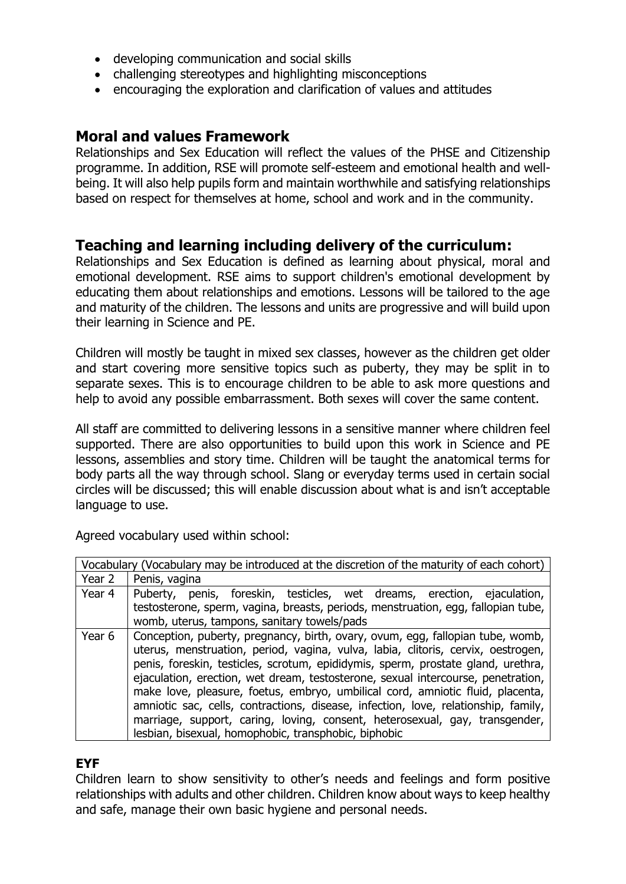- developing communication and social skills
- challenging stereotypes and highlighting misconceptions
- encouraging the exploration and clarification of values and attitudes

## **Moral and values Framework**

Relationships and Sex Education will reflect the values of the PHSE and Citizenship programme. In addition, RSE will promote self-esteem and emotional health and wellbeing. It will also help pupils form and maintain worthwhile and satisfying relationships based on respect for themselves at home, school and work and in the community.

## **Teaching and learning including delivery of the curriculum:**

Relationships and Sex Education is defined as learning about physical, moral and emotional development. RSE aims to support children's emotional development by educating them about relationships and emotions. Lessons will be tailored to the age and maturity of the children. The lessons and units are progressive and will build upon their learning in Science and PE.

Children will mostly be taught in mixed sex classes, however as the children get older and start covering more sensitive topics such as puberty, they may be split in to separate sexes. This is to encourage children to be able to ask more questions and help to avoid any possible embarrassment. Both sexes will cover the same content.

All staff are committed to delivering lessons in a sensitive manner where children feel supported. There are also opportunities to build upon this work in Science and PE lessons, assemblies and story time. Children will be taught the anatomical terms for body parts all the way through school. Slang or everyday terms used in certain social circles will be discussed; this will enable discussion about what is and isn't acceptable language to use.

Agreed vocabulary used within school:

| Vocabulary (Vocabulary may be introduced at the discretion of the maturity of each cohort) |                                                                                                                                                                                                                                                                                                                                                                                                                                                                                                                                                                                                                                                           |
|--------------------------------------------------------------------------------------------|-----------------------------------------------------------------------------------------------------------------------------------------------------------------------------------------------------------------------------------------------------------------------------------------------------------------------------------------------------------------------------------------------------------------------------------------------------------------------------------------------------------------------------------------------------------------------------------------------------------------------------------------------------------|
| Year 2                                                                                     | Penis, vagina                                                                                                                                                                                                                                                                                                                                                                                                                                                                                                                                                                                                                                             |
| Year 4                                                                                     | Puberty, penis, foreskin, testicles, wet dreams, erection, ejaculation,<br>testosterone, sperm, vagina, breasts, periods, menstruation, egg, fallopian tube,<br>womb, uterus, tampons, sanitary towels/pads                                                                                                                                                                                                                                                                                                                                                                                                                                               |
| Year 6                                                                                     | Conception, puberty, pregnancy, birth, ovary, ovum, egg, fallopian tube, womb,<br>uterus, menstruation, period, vagina, vulva, labia, clitoris, cervix, oestrogen,<br>penis, foreskin, testicles, scrotum, epididymis, sperm, prostate gland, urethra,<br>ejaculation, erection, wet dream, testosterone, sexual intercourse, penetration,<br>make love, pleasure, foetus, embryo, umbilical cord, amniotic fluid, placenta,<br>amniotic sac, cells, contractions, disease, infection, love, relationship, family,<br>marriage, support, caring, loving, consent, heterosexual, gay, transgender,<br>lesbian, bisexual, homophobic, transphobic, biphobic |

#### **EYF**

Children learn to show sensitivity to other's needs and feelings and form positive relationships with adults and other children. Children know about ways to keep healthy and safe, manage their own basic hygiene and personal needs.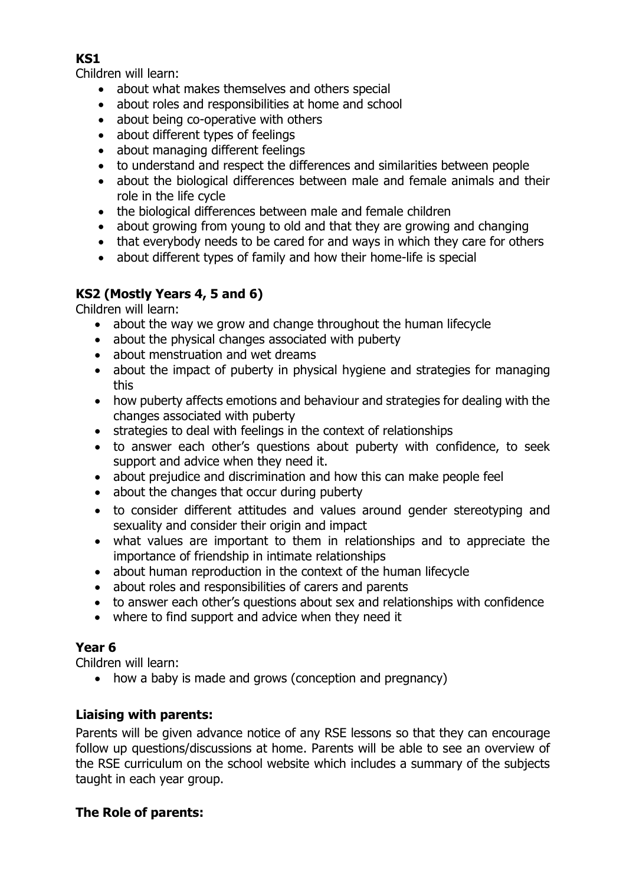#### **KS1**

Children will learn:

- about what makes themselves and others special
- about roles and responsibilities at home and school
- about being co-operative with others
- about different types of feelings
- about managing different feelings
- to understand and respect the differences and similarities between people
- about the biological differences between male and female animals and their role in the life cycle
- the biological differences between male and female children
- about growing from young to old and that they are growing and changing
- that everybody needs to be cared for and ways in which they care for others
- about different types of family and how their home-life is special

## **KS2 (Mostly Years 4, 5 and 6)**

Children will learn:

- about the way we grow and change throughout the human lifecycle
- about the physical changes associated with puberty
- about menstruation and wet dreams
- about the impact of puberty in physical hygiene and strategies for managing this
- how puberty affects emotions and behaviour and strategies for dealing with the changes associated with puberty
- strategies to deal with feelings in the context of relationships
- to answer each other's questions about puberty with confidence, to seek support and advice when they need it.
- about prejudice and discrimination and how this can make people feel
- about the changes that occur during puberty
- to consider different attitudes and values around gender stereotyping and sexuality and consider their origin and impact
- what values are important to them in relationships and to appreciate the importance of friendship in intimate relationships
- about human reproduction in the context of the human lifecycle
- about roles and responsibilities of carers and parents
- to answer each other's questions about sex and relationships with confidence
- where to find support and advice when they need it

#### **Year 6**

Children will learn:

• how a baby is made and grows (conception and pregnancy)

#### **Liaising with parents:**

Parents will be given advance notice of any RSE lessons so that they can encourage follow up questions/discussions at home. Parents will be able to see an overview of the RSE curriculum on the school website which includes a summary of the subjects taught in each year group.

### **The Role of parents:**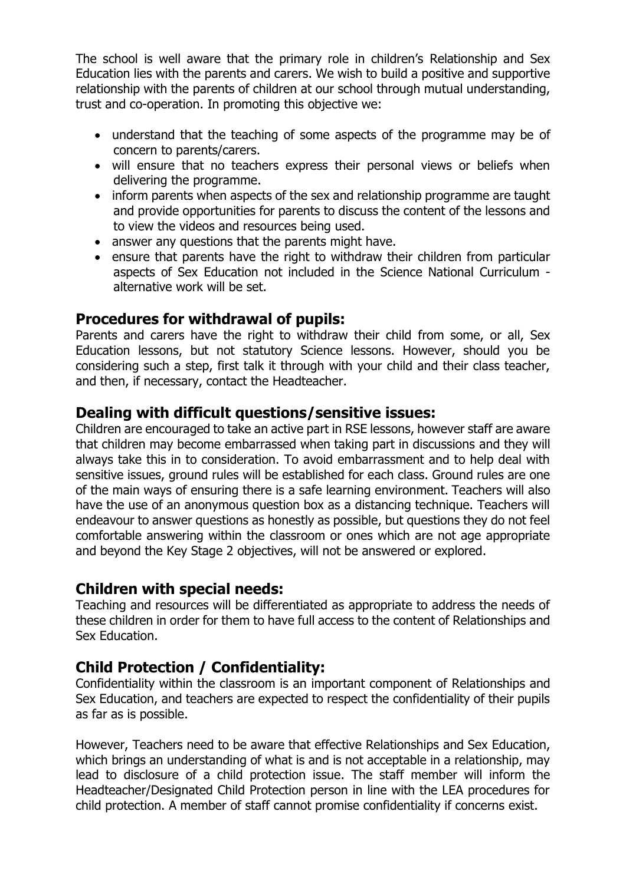The school is well aware that the primary role in children's Relationship and Sex Education lies with the parents and carers. We wish to build a positive and supportive relationship with the parents of children at our school through mutual understanding, trust and co-operation. In promoting this objective we:

- understand that the teaching of some aspects of the programme may be of concern to parents/carers.
- will ensure that no teachers express their personal views or beliefs when delivering the programme.
- inform parents when aspects of the sex and relationship programme are taught and provide opportunities for parents to discuss the content of the lessons and to view the videos and resources being used.
- answer any questions that the parents might have.
- ensure that parents have the right to withdraw their children from particular aspects of Sex Education not included in the Science National Curriculum alternative work will be set.

## **Procedures for withdrawal of pupils:**

Parents and carers have the right to withdraw their child from some, or all, Sex Education lessons, but not statutory Science lessons. However, should you be considering such a step, first talk it through with your child and their class teacher, and then, if necessary, contact the Headteacher.

### **Dealing with difficult questions/sensitive issues:**

Children are encouraged to take an active part in RSE lessons, however staff are aware that children may become embarrassed when taking part in discussions and they will always take this in to consideration. To avoid embarrassment and to help deal with sensitive issues, ground rules will be established for each class. Ground rules are one of the main ways of ensuring there is a safe learning environment. Teachers will also have the use of an anonymous question box as a distancing technique. Teachers will endeavour to answer questions as honestly as possible, but questions they do not feel comfortable answering within the classroom or ones which are not age appropriate and beyond the Key Stage 2 objectives, will not be answered or explored.

#### **Children with special needs:**

Teaching and resources will be differentiated as appropriate to address the needs of these children in order for them to have full access to the content of Relationships and Sex Education.

### **Child Protection / Confidentiality:**

Confidentiality within the classroom is an important component of Relationships and Sex Education, and teachers are expected to respect the confidentiality of their pupils as far as is possible.

However, Teachers need to be aware that effective Relationships and Sex Education, which brings an understanding of what is and is not acceptable in a relationship, may lead to disclosure of a child protection issue. The staff member will inform the Headteacher/Designated Child Protection person in line with the LEA procedures for child protection. A member of staff cannot promise confidentiality if concerns exist.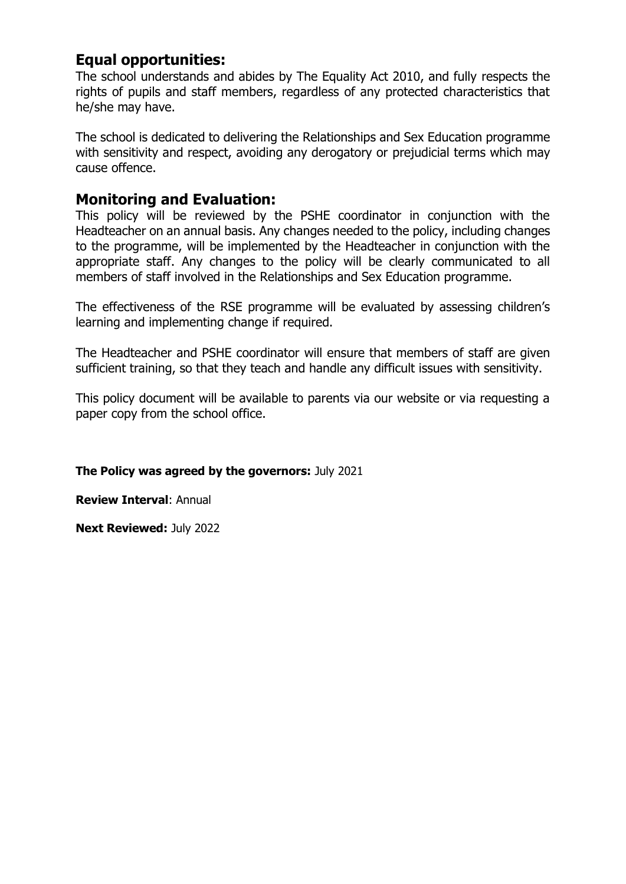## **Equal opportunities:**

The school understands and abides by The Equality Act 2010, and fully respects the rights of pupils and staff members, regardless of any protected characteristics that he/she may have.

The school is dedicated to delivering the Relationships and Sex Education programme with sensitivity and respect, avoiding any derogatory or prejudicial terms which may cause offence.

### **Monitoring and Evaluation:**

This policy will be reviewed by the PSHE coordinator in conjunction with the Headteacher on an annual basis. Any changes needed to the policy, including changes to the programme, will be implemented by the Headteacher in conjunction with the appropriate staff. Any changes to the policy will be clearly communicated to all members of staff involved in the Relationships and Sex Education programme.

The effectiveness of the RSE programme will be evaluated by assessing children's learning and implementing change if required.

The Headteacher and PSHE coordinator will ensure that members of staff are given sufficient training, so that they teach and handle any difficult issues with sensitivity.

This policy document will be available to parents via our website or via requesting a paper copy from the school office.

**The Policy was agreed by the governors:** July 2021

**Review Interval**: Annual

**Next Reviewed:** July 2022